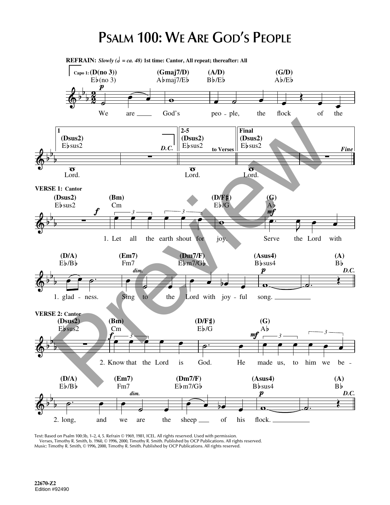## **PSALM 100: WE ARE GOD'S PEOPLE**

**REFRAIN:** Slowly  $(d = ca. 48)$  1st time: Cantor, All repeat; thereafter: All **(Gmaj7/D) Capo 1: (D(no 3)) (A/D) (G/D)**  $E\flat$ (no 3)  $Abmaj7/Eb$  $Bb/Eb$  $Ab/Eb$ We are God's flock of the peo - ple, the (Desire)<br>
Preview Basic Desired Basic Developer Pinal<br>
Figure 1. Let all the centri should be a second by the second behavior<br>
(DA)<br>
E-1. Let all the centri should be a second with preview the Lord with<br>
Preview the Lord **2-5 1 Final (Dsus2) (Dsus2) (Dsus2)**  $Eb$  sus2 *D. C.*  $Eb$ sus $2$ Ebsus2 *Fine* **to Verses**  $\overline{L}$ ord.  $\overline{\text{Lord.}}$ Lord. **VERSE 1: Cantor (D/F ) (Dsus2) (Bm) (G)**  $Eb/G$  $Eb$ sus $2$ Ab<br>mf Cm *3 3* joy. Serve the Lord with 1. Let all the earth shout for **(D/A) (Em7) (Dm7/F) (Asus4) (A)**  $E\flat$ / $B\flat$ Fm7 Ebm7/Gb Bb<sub>sus4</sub> B *D.C. dim.* Sing to the song. 1. glad - ness. Lord with joy - ful **VERSE 2: Cantor (Dsus2) (Bm) (D/F ) (G)**  $E\flat/G$  $Eb$ sus $2$ Cm A *3 3 3* God. 2. Know that the Lord is He made us, us, to him we be **(D/A) (Em7) (Dm7/F) (Asus4) (A)**  $Eb/Bb$ Fm7  $Eb$ m7/G $b$  $Bb$ sus $4$ B *dim.*  $\pmb{p}$ *D.C.* 2. long, and we are the sheep of his flock.

Text: Based on Psalm 100:3b, 1–2, 4, 5. Refrain © 1969, 1981, ICEL. All rights reserved. Used with permission. Verses, Timothy R. Smith, b. 1960, © 1996, 2000, Timothy R. Smith. Published by OCP Publications. All rights reserved. Music: Timothy R. Smith, © 1996, 2000, Timothy R. Smith. Published by OCP Publications. All rights reserved.